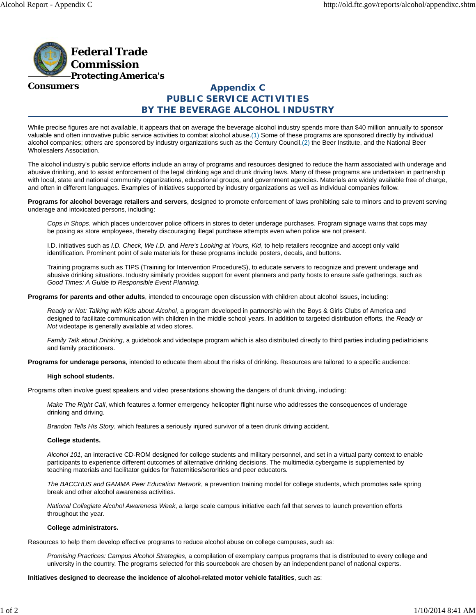

**Consumers**

# **Appendix C PUBLIC SERVICE ACTIVITIES BY THE BEVERAGE ALCOHOL INDUSTRY**

While precise figures are not available, it appears that on average the beverage alcohol industry spends more than \$40 million annually to sponsor valuable and often innovative public service activities to combat alcohol abuse.(1) Some of these programs are sponsored directly by individual alcohol companies; others are sponsored by industry organizations such as the Century Council,(2) the Beer Institute, and the National Beer Wholesalers Association.

The alcohol industry's public service efforts include an array of programs and resources designed to reduce the harm associated with underage and abusive drinking, and to assist enforcement of the legal drinking age and drunk driving laws. Many of these programs are undertaken in partnership with local, state and national community organizations, educational groups, and government agencies. Materials are widely available free of charge, and often in different languages. Examples of initiatives supported by industry organizations as well as individual companies follow.

**Programs for alcohol beverage retailers and servers**, designed to promote enforcement of laws prohibiting sale to minors and to prevent serving underage and intoxicated persons, including:

*Cops in Shops*, which places undercover police officers in stores to deter underage purchases. Program signage warns that cops may be posing as store employees, thereby discouraging illegal purchase attempts even when police are not present.

I.D. initiatives such as *I.D. Check, We I.D.* and *Here's Looking at Yours, Kid*, to help retailers recognize and accept only valid identification. Prominent point of sale materials for these programs include posters, decals, and buttons.

Training programs such as TIPS (Training for Intervention ProcedureS), to educate servers to recognize and prevent underage and abusive drinking situations. Industry similarly provides support for event planners and party hosts to ensure safe gatherings, such as *Good Times: A Guide to Responsible Event Planning.*

**Programs for parents and other adults**, intended to encourage open discussion with children about alcohol issues, including:

*Ready or Not: Talking with Kids about Alcohol*, a program developed in partnership with the Boys & Girls Clubs of America and designed to facilitate communication with children in the middle school years. In addition to targeted distribution efforts, the *Ready or Not* videotape is generally available at video stores.

*Family Talk about Drinking*, a guidebook and videotape program which is also distributed directly to third parties including pediatricians and family practitioners.

**Programs for underage persons**, intended to educate them about the risks of drinking. Resources are tailored to a specific audience:

## **High school students.**

Programs often involve guest speakers and video presentations showing the dangers of drunk driving, including:

*Make The Right Call*, which features a former emergency helicopter flight nurse who addresses the consequences of underage drinking and driving.

*Brandon Tells His Story*, which features a seriously injured survivor of a teen drunk driving accident.

## **College students.**

*Alcohol 101*, an interactive CD-ROM designed for college students and military personnel, and set in a virtual party context to enable participants to experience different outcomes of alternative drinking decisions. The multimedia cybergame is supplemented by teaching materials and facilitator guides for fraternities/sororities and peer educators.

*The BACCHUS and GAMMA Peer Education Network*, a prevention training model for college students, which promotes safe spring break and other alcohol awareness activities.

*National Collegiate Alcohol Awareness Week*, a large scale campus initiative each fall that serves to launch prevention efforts throughout the year.

#### **College administrators.**

Resources to help them develop effective programs to reduce alcohol abuse on college campuses, such as:

*Promising Practices: Campus Alcohol Strategies*, a compilation of exemplary campus programs that is distributed to every college and university in the country. The programs selected for this sourcebook are chosen by an independent panel of national experts.

**Initiatives designed to decrease the incidence of alcohol-related motor vehicle fatalities**, such as: